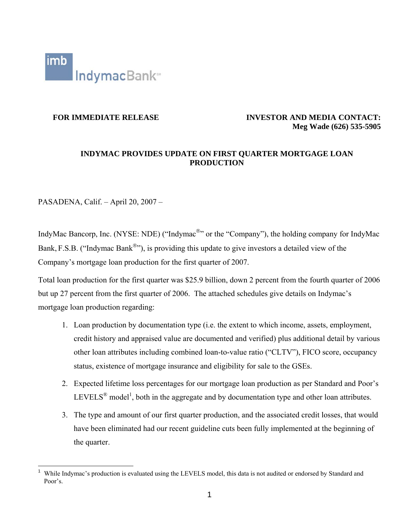

### **FOR IMMEDIATE RELEASE INVESTOR AND MEDIA CONTACT: Meg Wade (626) 535-5905**

### **INDYMAC PROVIDES UPDATE ON FIRST QUARTER MORTGAGE LOAN PRODUCTION**

PASADENA, Calif. – April 20, 2007 –

IndyMac Bancorp, Inc. (NYSE: NDE) ("Indymac<sup>®</sup>" or the "Company"), the holding company for IndyMac Bank, F.S.B. ("Indymac Bank<sup>®</sup>"), is providing this update to give investors a detailed view of the Company's mortgage loan production for the first quarter of 2007.

Total loan production for the first quarter was \$25.9 billion, down 2 percent from the fourth quarter of 2006 but up 27 percent from the first quarter of 2006. The attached schedules give details on Indymac's mortgage loan production regarding:

- 1. Loan production by documentation type (i.e. the extent to which income, assets, employment, credit history and appraised value are documented and verified) plus additional detail by various other loan attributes including combined loan-to-value ratio ("CLTV"), FICO score, occupancy status, existence of mortgage insurance and eligibility for sale to the GSEs.
- 2. Expected lifetime loss percentages for our mortgage loan production as per Standard and Poor's LEVELS<sup>®</sup> model<sup>[1](#page-0-0)</sup>, both in the aggregate and by documentation type and other loan attributes.
- 3. The type and amount of our first quarter production, and the associated credit losses, that would have been eliminated had our recent guideline cuts been fully implemented at the beginning of the quarter.

<span id="page-0-0"></span> $\frac{1}{1}$  While Indymac's production is evaluated using the LEVELS model, this data is not audited or endorsed by Standard and Poor's.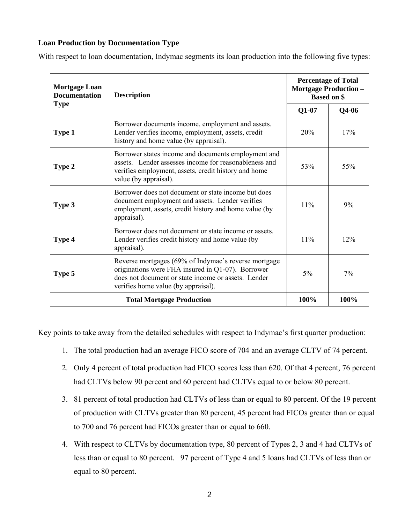## **Loan Production by Documentation Type**

With respect to loan documentation, Indymac segments its loan production into the following five types:

| <b>Mortgage Loan</b><br><b>Documentation</b> | <b>Description</b>                                                                                                                                                                                      | <b>Percentage of Total</b><br><b>Mortgage Production -</b><br><b>Based on \$</b> |      |  |  |  |
|----------------------------------------------|---------------------------------------------------------------------------------------------------------------------------------------------------------------------------------------------------------|----------------------------------------------------------------------------------|------|--|--|--|
| <b>Type</b>                                  | $Q1-07$                                                                                                                                                                                                 | $Q4-06$                                                                          |      |  |  |  |
| <b>Type 1</b>                                | Borrower documents income, employment and assets.<br>Lender verifies income, employment, assets, credit<br>history and home value (by appraisal).                                                       | 20%                                                                              | 17%  |  |  |  |
| Type 2                                       | Borrower states income and documents employment and<br>assets. Lender assesses income for reasonableness and<br>verifies employment, assets, credit history and home<br>value (by appraisal).           | 53%                                                                              | 55%  |  |  |  |
| Type 3                                       | Borrower does not document or state income but does<br>document employment and assets. Lender verifies<br>employment, assets, credit history and home value (by<br>appraisal).                          | 11%                                                                              | 9%   |  |  |  |
| Type 4                                       | Borrower does not document or state income or assets.<br>Lender verifies credit history and home value (by<br>appraisal).                                                                               | 11%                                                                              | 12%  |  |  |  |
| Type 5                                       | Reverse mortgages (69% of Indymac's reverse mortgage<br>originations were FHA insured in Q1-07). Borrower<br>does not document or state income or assets. Lender<br>verifies home value (by appraisal). | 5%                                                                               | 7%   |  |  |  |
|                                              | <b>Total Mortgage Production</b>                                                                                                                                                                        | 100%                                                                             | 100% |  |  |  |

Key points to take away from the detailed schedules with respect to Indymac's first quarter production:

- 1. The total production had an average FICO score of 704 and an average CLTV of 74 percent.
- 2. Only 4 percent of total production had FICO scores less than 620. Of that 4 percent, 76 percent had CLTVs below 90 percent and 60 percent had CLTVs equal to or below 80 percent.
- 3. 81 percent of total production had CLTVs of less than or equal to 80 percent. Of the 19 percent of production with CLTVs greater than 80 percent, 45 percent had FICOs greater than or equal to 700 and 76 percent had FICOs greater than or equal to 660.
- 4. With respect to CLTVs by documentation type, 80 percent of Types 2, 3 and 4 had CLTVs of less than or equal to 80 percent. 97 percent of Type 4 and 5 loans had CLTVs of less than or equal to 80 percent.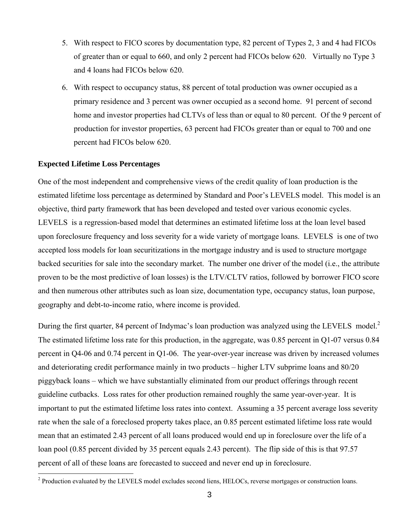- 5. With respect to FICO scores by documentation type, 82 percent of Types 2, 3 and 4 had FICOs of greater than or equal to 660, and only 2 percent had FICOs below 620. Virtually no Type 3 and 4 loans had FICOs below 620.
- 6. With respect to occupancy status, 88 percent of total production was owner occupied as a primary residence and 3 percent was owner occupied as a second home. 91 percent of second home and investor properties had CLTVs of less than or equal to 80 percent. Of the 9 percent of production for investor properties, 63 percent had FICOs greater than or equal to 700 and one percent had FICOs below 620.

### **Expected Lifetime Loss Percentages**

One of the most independent and comprehensive views of the credit quality of loan production is the estimated lifetime loss percentage as determined by Standard and Poor's LEVELS model. This model is an objective, third party framework that has been developed and tested over various economic cycles. LEVELS is a regression-based model that determines an estimated lifetime loss at the loan level based upon foreclosure frequency and loss severity for a wide variety of mortgage loans. LEVELS is one of two accepted loss models for loan securitizations in the mortgage industry and is used to structure mortgage backed securities for sale into the secondary market. The number one driver of the model (i.e., the attribute proven to be the most predictive of loan losses) is the LTV/CLTV ratios, followed by borrower FICO score and then numerous other attributes such as loan size, documentation type, occupancy status, loan purpose, geography and debt-to-income ratio, where income is provided.

Duringthe first quarter, 84 percent of Indymac's loan production was analyzed using the LEVELS model.<sup>2</sup> The estimated lifetime loss rate for this production, in the aggregate, was 0.85 percent in Q1-07 versus 0.84 percent in Q4-06 and 0.74 percent in Q1-06. The year-over-year increase was driven by increased volumes and deteriorating credit performance mainly in two products – higher LTV subprime loans and 80/20 piggyback loans – which we have substantially eliminated from our product offerings through recent guideline cutbacks. Loss rates for other production remained roughly the same year-over-year. It is important to put the estimated lifetime loss rates into context. Assuming a 35 percent average loss severity rate when the sale of a foreclosed property takes place, an 0.85 percent estimated lifetime loss rate would mean that an estimated 2.43 percent of all loans produced would end up in foreclosure over the life of a loan pool (0.85 percent divided by 35 percent equals 2.43 percent). The flip side of this is that 97.57 percent of all of these loans are forecasted to succeed and never end up in foreclosure.

<span id="page-2-0"></span> $\frac{1}{2}$ <sup>2</sup> Production evaluated by the LEVELS model excludes second liens, HELOCs, reverse mortgages or construction loans.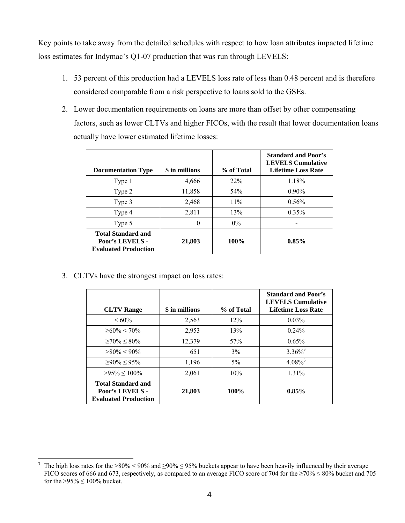Key points to take away from the detailed schedules with respect to how loan attributes impacted lifetime loss estimates for Indymac's Q1-07 production that was run through LEVELS:

- 1. 53 percent of this production had a LEVELS loss rate of less than 0.48 percent and is therefore considered comparable from a risk perspective to loans sold to the GSEs.
- 2. Lower documentation requirements on loans are more than offset by other compensating factors, such as lower CLTVs and higher FICOs, with the result that lower documentation loans actually have lower estimated lifetime losses:

| <b>Documentation Type</b>                                                   | \$ in millions | % of Total | <b>Standard and Poor's</b><br><b>LEVELS</b> Cumulative<br><b>Lifetime Loss Rate</b> |
|-----------------------------------------------------------------------------|----------------|------------|-------------------------------------------------------------------------------------|
| Type 1                                                                      | 4,666          | 22%        | 1.18%                                                                               |
| Type 2                                                                      | 11,858         | 54%        | $0.90\%$                                                                            |
| Type 3                                                                      | 2,468          | $11\%$     | 0.56%                                                                               |
| Type 4                                                                      | 2,811          | 13%        | 0.35%                                                                               |
| Type 5                                                                      | 0              | $0\%$      |                                                                                     |
| <b>Total Standard and</b><br>Poor's LEVELS -<br><b>Evaluated Production</b> | 21,803         | 100%       | 0.85%                                                                               |

3. CLTVs have the strongest impact on loss rates:

| <b>CLTV</b> Range                                                           | \$ in millions | % of Total | <b>Standard and Poor's</b><br><b>LEVELS</b> Cumulative<br><b>Lifetime Loss Rate</b> |
|-----------------------------------------------------------------------------|----------------|------------|-------------------------------------------------------------------------------------|
| $<60\%$                                                                     | 2,563          | 12%        | $0.03\%$                                                                            |
| $>60\% < 70\%$                                                              | 2,953          | 13%        | $0.24\%$                                                                            |
| $>70\% < 80\%$                                                              | 12,379         | 57%        | 0.65%                                                                               |
| $>80\% < 90\%$                                                              | 651            | 3%         | $3.36\%$ <sup>3</sup>                                                               |
| $>90\% < 95\%$                                                              | 1,196          | $5\%$      | $4.08\%$ <sup>3</sup>                                                               |
| $>95\% < 100\%$                                                             | 2,061          | 10%        | $1.31\%$                                                                            |
| <b>Total Standard and</b><br>Poor's LEVELS -<br><b>Evaluated Production</b> | 21,803         | 100%       | $0.85\%$                                                                            |

<span id="page-3-0"></span> $\frac{1}{3}$ <sup>3</sup> The high loss rates for the >80% < 90% and >90% ≤ 95% buckets appear to have been heavily influenced by their average FICO scores of 666 and 673, respectively, as compared to an average FICO score of 704 for the ≥70% ≤ 80% bucket and 705 for the  $>95\% \le 100\%$  bucket.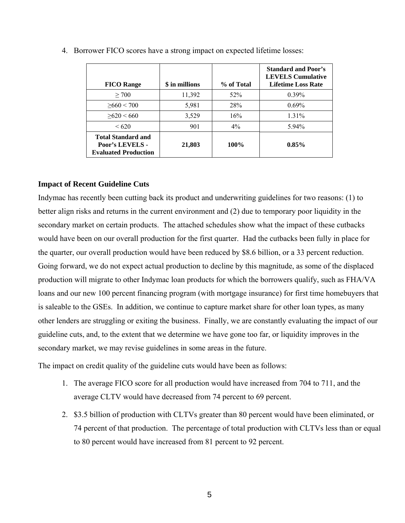| <b>FICO Range</b>                                                           | \$ in millions | % of Total | <b>Standard and Poor's</b><br><b>LEVELS</b> Cumulative<br><b>Lifetime Loss Rate</b> |
|-----------------------------------------------------------------------------|----------------|------------|-------------------------------------------------------------------------------------|
| > 700                                                                       | 11,392         | 52%        | $0.39\%$                                                                            |
| $\geq 660 < 700$                                                            | 5,981          | 28%        | $0.69\%$                                                                            |
| >620 < 660                                                                  | 3,529          | 16%        | $1.31\%$                                                                            |
| <620                                                                        | 901            | $4\%$      | $5.94\%$                                                                            |
| <b>Total Standard and</b><br>Poor's LEVELS -<br><b>Evaluated Production</b> | 21,803         | $100\%$    | $0.85\%$                                                                            |

4. Borrower FICO scores have a strong impact on expected lifetime losses:

### **Impact of Recent Guideline Cuts**

Indymac has recently been cutting back its product and underwriting guidelines for two reasons: (1) to better align risks and returns in the current environment and (2) due to temporary poor liquidity in the secondary market on certain products. The attached schedules show what the impact of these cutbacks would have been on our overall production for the first quarter. Had the cutbacks been fully in place for the quarter, our overall production would have been reduced by \$8.6 billion, or a 33 percent reduction. Going forward, we do not expect actual production to decline by this magnitude, as some of the displaced production will migrate to other Indymac loan products for which the borrowers qualify, such as FHA/VA loans and our new 100 percent financing program (with mortgage insurance) for first time homebuyers that is saleable to the GSEs. In addition, we continue to capture market share for other loan types, as many other lenders are struggling or exiting the business. Finally, we are constantly evaluating the impact of our guideline cuts, and, to the extent that we determine we have gone too far, or liquidity improves in the secondary market, we may revise guidelines in some areas in the future.

The impact on credit quality of the guideline cuts would have been as follows:

- 1. The average FICO score for all production would have increased from 704 to 711, and the average CLTV would have decreased from 74 percent to 69 percent.
- 2. \$3.5 billion of production with CLTVs greater than 80 percent would have been eliminated, or 74 percent of that production. The percentage of total production with CLTVs less than or equal to 80 percent would have increased from 81 percent to 92 percent.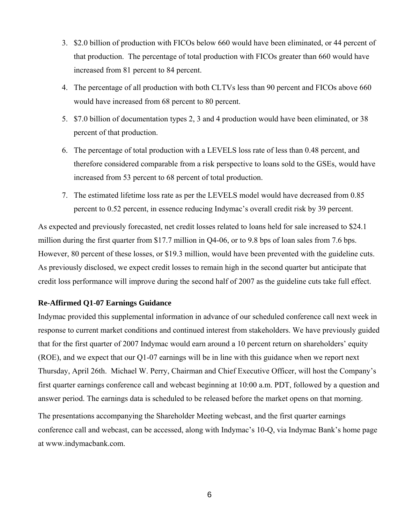- 3. \$2.0 billion of production with FICOs below 660 would have been eliminated, or 44 percent of that production. The percentage of total production with FICOs greater than 660 would have increased from 81 percent to 84 percent.
- 4. The percentage of all production with both CLTVs less than 90 percent and FICOs above 660 would have increased from 68 percent to 80 percent.
- 5. \$7.0 billion of documentation types 2, 3 and 4 production would have been eliminated, or 38 percent of that production.
- 6. The percentage of total production with a LEVELS loss rate of less than 0.48 percent, and therefore considered comparable from a risk perspective to loans sold to the GSEs, would have increased from 53 percent to 68 percent of total production.
- 7. The estimated lifetime loss rate as per the LEVELS model would have decreased from 0.85 percent to 0.52 percent, in essence reducing Indymac's overall credit risk by 39 percent.

As expected and previously forecasted, net credit losses related to loans held for sale increased to \$24.1 million during the first quarter from \$17.7 million in Q4-06, or to 9.8 bps of loan sales from 7.6 bps. However, 80 percent of these losses, or \$19.3 million, would have been prevented with the guideline cuts. As previously disclosed, we expect credit losses to remain high in the second quarter but anticipate that credit loss performance will improve during the second half of 2007 as the guideline cuts take full effect.

### **Re-Affirmed Q1-07 Earnings Guidance**

Indymac provided this supplemental information in advance of our scheduled conference call next week in response to current market conditions and continued interest from stakeholders. We have previously guided that for the first quarter of 2007 Indymac would earn around a 10 percent return on shareholders' equity (ROE), and we expect that our Q1-07 earnings will be in line with this guidance when we report next Thursday, April 26th. Michael W. Perry, Chairman and Chief Executive Officer, will host the Company's first quarter earnings conference call and webcast beginning at 10:00 a.m. PDT, followed by a question and answer period. The earnings data is scheduled to be released before the market opens on that morning.

The presentations accompanying the Shareholder Meeting webcast, and the first quarter earnings conference call and webcast, can be accessed, along with Indymac's 10-Q, via Indymac Bank's home page at [www.indymacbank.com.](http://www.indymacbank.com/)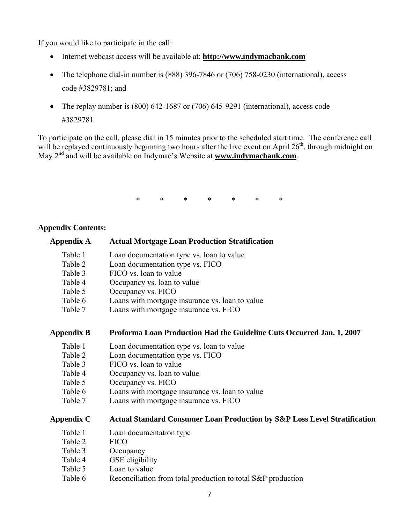If you would like to participate in the call:

- Internet webcast access will be available at: **[http://www.indymacbank.com](http://www.indymacbank.com/)**
- The telephone dial-in number is (888) 396-7846 or (706) 758-0230 (international), access code #3829781; and
- The replay number is (800) 642-1687 or (706) 645-9291 (international), access code #3829781

To participate on the call, please dial in 15 minutes prior to the scheduled start time. The conference call will be replayed continuously beginning two hours after the live event on April 26<sup>th</sup>, through midnight on May 2nd and will be available on Indymac's Website at **[www.indymacbank.com](http://www.indymacbank.com/)**.

\* \* \* \* \* \* \*

### **Appendix Contents:**

| <b>Appendix A</b> | <b>Actual Mortgage Loan Production Stratification</b>                                |
|-------------------|--------------------------------------------------------------------------------------|
| Table 1           | Loan documentation type vs. loan to value                                            |
| Table 2           | Loan documentation type vs. FICO                                                     |
| Table 3           | FICO vs. loan to value                                                               |
| Table 4           | Occupancy vs. loan to value                                                          |
| Table 5           | Occupancy vs. FICO                                                                   |
| Table 6           | Loans with mortgage insurance vs. loan to value                                      |
| Table 7           | Loans with mortgage insurance vs. FICO                                               |
| <b>Appendix B</b> | Proforma Loan Production Had the Guideline Cuts Occurred Jan. 1, 2007                |
| Table 1           | Loan documentation type vs. loan to value                                            |
| Table 2           | Loan documentation type vs. FICO                                                     |
| Table 3           | FICO vs. loan to value                                                               |
| Table 4           | Occupancy vs. loan to value                                                          |
| Table 5           | Occupancy vs. FICO                                                                   |
| Table 6           | Loans with mortgage insurance vs. loan to value                                      |
| Table 7           | Loans with mortgage insurance vs. FICO                                               |
| <b>Appendix C</b> | <b>Actual Standard Consumer Loan Production by S&amp;P Loss Level Stratification</b> |
| Table 1           | Loan documentation type                                                              |
| Table 2           | <b>FICO</b>                                                                          |
| Table 3           | Occupancy                                                                            |
| Table 4           | GSE eligibility                                                                      |
| Table 5           | Loan to value                                                                        |
| Table 6           | Reconciliation from total production to total S&P production                         |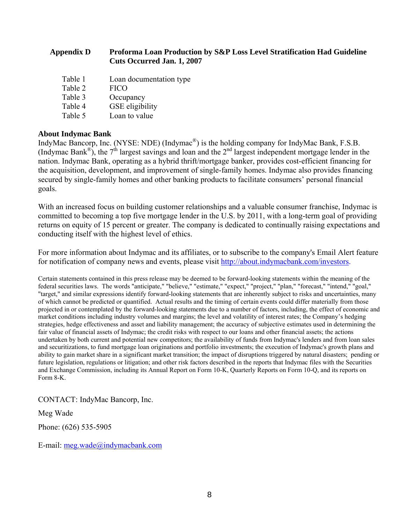| <b>Appendix D</b> | <b>Proforma Loan Production by S&amp;P Loss Level Stratification Had Guideline</b><br><b>Cuts Occurred Jan. 1, 2007</b> |
|-------------------|-------------------------------------------------------------------------------------------------------------------------|
| Table 1           | Loan documentation type                                                                                                 |
| Table 2           | <b>FICO</b>                                                                                                             |
| Table 3           | Occupancy                                                                                                               |
| Table 4           | GSE eligibility                                                                                                         |
| Table 5           | Loan to value                                                                                                           |

### **About Indymac Bank**

IndyMac Bancorp, Inc. (NYSE: NDE) (Indymac®) is the holding company for IndyMac Bank, F.S.B. (Indymac Bank<sup>®</sup>), the  $7<sup>th</sup>$  largest savings and loan and the  $2<sup>nd</sup>$  largest independent mortgage lender in the nation. Indymac Bank, operating as a hybrid thrift/mortgage banker, provides cost-efficient financing for the acquisition, development, and improvement of single-family homes. Indymac also provides financing secured by single-family homes and other banking products to facilitate consumers' personal financial goals.

With an increased focus on building customer relationships and a valuable consumer franchise, Indymac is committed to becoming a top five mortgage lender in the U.S. by 2011, with a long-term goal of providing returns on equity of 15 percent or greater. The company is dedicated to continually raising expectations and conducting itself with the highest level of ethics.

For more information about Indymac and its affiliates, or to subscribe to the company's Email Alert feature for notification of company news and events, please visit [http://about.indymacbank.com/investors.](http://about.indymacbank.com/investors)

Certain statements contained in this press release may be deemed to be forward-looking statements within the meaning of the federal securities laws. The words "anticipate," "believe," "estimate," "expect," "project," "plan," "forecast," "intend," "goal," "target," and similar expressions identify forward-looking statements that are inherently subject to risks and uncertainties, many of which cannot be predicted or quantified. Actual results and the timing of certain events could differ materially from those projected in or contemplated by the forward-looking statements due to a number of factors, including, the effect of economic and market conditions including industry volumes and margins; the level and volatility of interest rates; the Company's hedging strategies, hedge effectiveness and asset and liability management; the accuracy of subjective estimates used in determining the fair value of financial assets of Indymac; the credit risks with respect to our loans and other financial assets; the actions undertaken by both current and potential new competitors; the availability of funds from Indymac's lenders and from loan sales and securitizations, to fund mortgage loan originations and portfolio investments; the execution of Indymac's growth plans and ability to gain market share in a significant market transition; the impact of disruptions triggered by natural disasters; pending or future legislation, regulations or litigation; and other risk factors described in the reports that Indymac files with the Securities and Exchange Commission, including its Annual Report on Form 10-K, Quarterly Reports on Form 10-Q, and its reports on Form 8-K.

CONTACT: IndyMac Bancorp, Inc.

### Meg Wade

Phone: (626) 535-5905

E-mail: [meg.wade@indymacbank.com](mailto:meg.wade@indymacbank.com)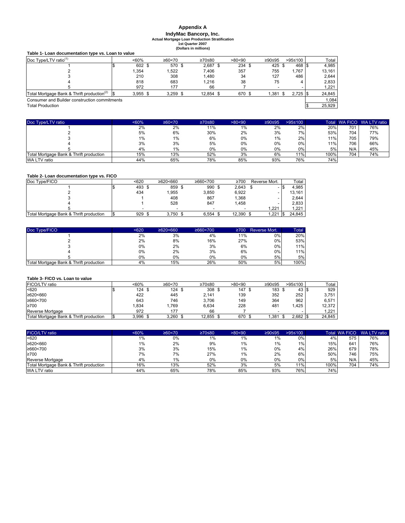# **Appendix A IndyMac Bancorp, Inc. Actual Mortgage Loan Production Stratification 1st Quarter 2007**

**(Dollars in millions)**

|                                                        |  |            |            | (Dollars in millions) |  |        |                          |                    |  |        |  |
|--------------------------------------------------------|--|------------|------------|-----------------------|--|--------|--------------------------|--------------------|--|--------|--|
| Table 1- Loan documentation type vs. Loan to value     |  |            |            |                       |  |        |                          |                    |  |        |  |
| Doc Type/LTV ratio <sup>(1)</sup>                      |  | $~50\%$    | ≥60 < 70   | ≥70≤80                |  | >80<90 | ≥90≤95                   | >95≤100            |  | Total  |  |
|                                                        |  | 602 \$     | 570 \$     | $2.687$ \$            |  | 234 \$ | 425 \$                   | 468 \$             |  | 4,985  |  |
|                                                        |  | 1.354      | 1.522      | 7.406                 |  | 357    | 755                      | 1.767              |  | 13.161 |  |
|                                                        |  | 210        | 308        | 1.480                 |  | 34     | 127                      | 486                |  | 2,644  |  |
|                                                        |  | 818        | 683        | 1.216                 |  | 38     | 75                       |                    |  | 2,833  |  |
|                                                        |  | 972        | 177        | 66                    |  |        | $\overline{\phantom{0}}$ |                    |  | 1,221  |  |
| Total Mortgage Bank & Thrift production <sup>(2)</sup> |  | $3,955$ \$ | $3,259$ \$ | 12,854 \$             |  | 670 \$ | 1.381                    | $2,725$ \$<br>- \$ |  | 24,845 |  |
| Consumer and Builder construction commitments          |  |            |            |                       |  |        |                          |                    |  | 1.084  |  |
| <b>Total Production</b>                                |  |            |            |                       |  |        |                          |                    |  | 25,929 |  |

| Doc Type/LTV ratio                      | <60% | ≥60 < 70 | ≥70≤80 | >80<90 | ≥90≤95 | >95≤100 |      |     | Total WA FICO WA LTV ratio |
|-----------------------------------------|------|----------|--------|--------|--------|---------|------|-----|----------------------------|
|                                         | 2%   | 2%       | 11%    | 1%     | 2%     | 2%      | 20%  | 701 | 76%                        |
|                                         | 5%   | 6%       | 30%    | 2%     | 3%     | 7%      | 53%  | 704 | 77%                        |
|                                         | 1%   | 1%       | 6%     | 0%     | 1%     | 2%      | 11%  | 705 | 79%                        |
|                                         | 3%   | 3%       | 5%     | 0%     | 0%     | 0%      | 11%  | 706 | 66%                        |
|                                         | 4%   | 1%       | 0%     | 0%     | $0\%$  | 0%      | 5%   | N/A | 45%                        |
| Total Mortgage Bank & Thrift production | 15%  | 13%      | 52%    | 3%     | 6%     | 11%     | 100% | 704 | 74%                        |
| WA LTV ratio                            | 44%  | 65%      | 78%    | 85%    | 93%    | 76%     | 74%  |     |                            |

### **Table 2- Loan documentation type vs. FICO**

| Doc Type/FICO                           | $620$  | ≥620<660   | ≥660 < 700 | ≥700<br>Reverse Mort. |           | Total                    |        |
|-----------------------------------------|--------|------------|------------|-----------------------|-----------|--------------------------|--------|
|                                         | 493 \$ | 859 \$     | 990 \$     |                       | 2.643     | -                        | 4.985  |
|                                         | 434    | .955       | 3.850      |                       | 6.922     | $\overline{\phantom{0}}$ | 13.161 |
|                                         |        | 408        | 867        |                       | 1.368     | $\overline{\phantom{0}}$ | 2.644  |
|                                         |        | 528        | 847        |                       | 1.458     | $\overline{\phantom{0}}$ | 2.833  |
|                                         |        | -          |            |                       |           | 1.221                    | 1.221  |
| Total Mortgage Bank & Thrift production | 929    | $3.750$ \$ | 6.554      |                       | 12.390 \$ | 1.221                    | 24.845 |

| Doc Type/FICO                           | < 620 | $\geq 620 < 660$ | ≥660 < 700 | $\geq 700$ | Reverse Mort. | Total |
|-----------------------------------------|-------|------------------|------------|------------|---------------|-------|
|                                         | 2%    | 3%               | 4%         | 11%        | $0\%$         | 20%   |
|                                         | 2%    | 8%               | 16%        | 27%        | $0\%$         | 53%   |
|                                         | 0%    | 2%               | 3%         | 6%         | $0\%$         | 11%   |
|                                         | 0%    | 2%               | 3%         | 6%         | 0%            | 11%   |
|                                         | 0%    | 0%               | $0\%$      | 0%         | 5%            | 5%    |
| Total Mortgage Bank & Thrift production | 4%    | 15%              | 26%        | 50%        | 5%            | 100%  |

#### **Table 3- FICO vs. Loan to value**

| FICO/LTV ratio                          | < 60% | ≥60 < 70 | ≥70≤80 | >80<90 | ≥90≤95 | >95≤100 | Total  |
|-----------------------------------------|-------|----------|--------|--------|--------|---------|--------|
| < 620                                   | 124   | 124      | 308    | 147    | 183    | 43      | 929    |
| ≥620<660                                | 422   | 445      | 2.141  | 139    | 352    | 252     | 3.751  |
| ≥660<700                                | 643   | 746      | 3.706  | 149    | 364    | 962     | 6.571  |
| ≥700                                    | .834  | .769     | 6.634  | 228    | 481    | .425    | 12.372 |
| Reverse Mortgage                        | 972   | 177      | 66     |        |        |         | .221   |
| Total Mortgage Bank & Thrift production | 3.996 | 3.260    | 12,855 | 670 \$ | .381   | 2,682   | 24,845 |

| <b>FICO/LTV</b> ratio                   | $< 60\%$ | ≥60 < 70 | ≥70≤80 | >80<90 | ≥90≤95 | $>95 \le 100$ | Total | <b>WA FICO</b> | WA LTV ratio |
|-----------------------------------------|----------|----------|--------|--------|--------|---------------|-------|----------------|--------------|
| < 620                                   | 1%       | $0\%$    | $1\%$  | 1%     | 1%     | 0%            | 4%    | 575            | 76%          |
| ≥620<660                                | 1%       | 2%       | 9%     | 1%     | 1%     | $1\%$         | 15%   | 641            | 76%          |
| ≥660<700                                | 3%       | 3%       | 15%    | 1%     | 0%     | 4%            | 26%   | 679            | 78%          |
| ≥700                                    | 7%       | 7%       | 27%    | 1%     | 2%     | 6%            | 50%   | 746            | 75%          |
| Reverse Mortgage                        | 4%       | 1%       | 0%     | 0%     | 0%     | 0%            | 5%    | N/A            | 45%          |
| Total Mortgage Bank & Thrift production | 16%      | 13%      | 52%    | 3%     | 5%     | 11%           | 100%  | 704            | 74%          |
| WA LTV ratio                            | 44%      | 65%      | 78%    | 85%    | 93%    | 76%           | 74%   |                |              |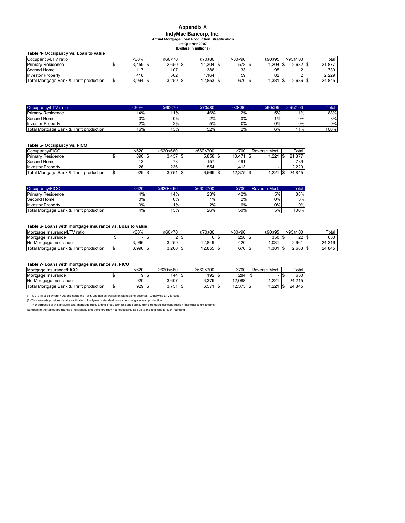# **Appendix A IndyMac Bancorp, Inc. Actual Mortgage Loan Production Stratification 1st Quarter 2007**

**(Dollars in millions)**

| Table 4- Occupancy vs. Loan to value    |            |            |        |        |        |              |        |
|-----------------------------------------|------------|------------|--------|--------|--------|--------------|--------|
| Occupancy/LTV ratio                     | <60%       | ≥60 < 70   | ≥70≤80 | >80<90 | ≥90≤95 | >95≤100      | Total  |
| <b>Primary Residence</b>                | $3.459$ \$ | $2.650$ \$ | 11.304 | 578 \$ | .204   | $2.682$ \$   | 21.877 |
| Second Home                             | 117        | 107        | 386    | 33     | 95     |              | 739    |
| <b>Investor Property</b>                | 418        | 502        | .164   | 59     | 82     |              | 2.229  |
| Total Mortgage Bank & Thrift production | 3.994      | 3.259      | 12,853 | 670 \$ | .381   | $2.686$ \ \$ | 24.845 |

| Occupancy/LTV ratio                     | $<60\%$ | ≥60 < 70 | ≥70≤80. | >80<90 | ≥90≤95 | >95≤100 | Total |
|-----------------------------------------|---------|----------|---------|--------|--------|---------|-------|
| <b>Primary Residence</b>                | 14%     | 11%      | 46%     | 2%     | 5%     | 11%     | 88%   |
| Second Home                             | 0%      | 0%       | 2%      | 0%     | 1%     | $0\%$   | 3%    |
| <b>Investor Property</b>                | 2%      | 2%       | 5%      | 0%     | 0%     | $0\%$   | 9%    |
| Total Mortgage Bank & Thrift production | 16%     | 13%      | 52%     | 2%     | 6%     | 11%     | 100%  |

#### **Table 5- Occupancy vs. FICO**

| Occupancy/FICO                          | <620 | ≥620<660 | ≥660 < 700 | $\geq 700$ | Reverse Mort. | Total  |
|-----------------------------------------|------|----------|------------|------------|---------------|--------|
| <b>Primary Residence</b>                | 890  | 3.437    | 5.858      | 10.471     | .221          | 21.877 |
| Second Home                             |      | 78       | 157        | 491        |               | 739    |
| <b>Investor Property</b>                | 26   | 236      | 554        | .413       |               | 2.229  |
| Total Mortgage Bank & Thrift production | 929  | 3.751    | 6.569      | 12.375     | .221          | 24.845 |

| Occupancy/FICO                          | <620 | $\geq 620 \leq 660$ | ≥660 < 700 | 2700 | Reverse Mort. | Total |
|-----------------------------------------|------|---------------------|------------|------|---------------|-------|
| <b>Primary Residence</b>                | 4%   | 14%                 | 23%        | 42%  | 5%            | 88%   |
| Second Home                             | 0%   | 0%                  | 1%         | 2%   | 0% l          | 3%    |
| <b>Investor Property</b>                | 0%   | 1%                  | 2%         | 6%   | 0%            | 9%    |
| Total Mortgage Bank & Thrift production | 4%   | 15%                 | 26%        | 50%  | 5%            | 100%  |

#### **Table 6- Loans with mortgage insurance vs. Loan to value**

| - -                                     |       |          |        |        |        |              |        |
|-----------------------------------------|-------|----------|--------|--------|--------|--------------|--------|
| Mortgage Insurance/LT<br>TV ratio       | <60%  | ≥60 < 70 | ≥70≤80 | >80<90 | ≥90≤95 | >95≤100      | Total  |
| Mortgage Insurance                      |       |          |        | 250    | 350    | $\sim$<br>∠∠ | 630    |
| No Mortgage Insurance                   | 3.996 | 3.259    | 12.849 | 420    | 031    | 2.661        | 24.216 |
| Total Mortgage Bank & Thrift production | 3.996 | 3.260    | 12.855 | 670    | .381   | 2.683        | 24.845 |

#### **Table 7- Loans with mortgage insurance vs. FICO**

| Mortgage Insurance/FICO                 | 620ء | ≥620<660 | ≥660<700   | ≥700   | Reverse Mort. |     | Total  |
|-----------------------------------------|------|----------|------------|--------|---------------|-----|--------|
| Mortgage Insurance                      |      | 144      | 192        | 284    | -19           |     | 630    |
| No Mortgage Insurance                   | 92C  | 3.607    | 6.379      | .088   | $.22^*$       |     | 24.215 |
| Total Mortgage Bank & Thrift production | 929  | 3.751    | $0.57^{4}$ | 12.373 | .221          | I S | 24.845 |

(1)- CLTV is used where NDE originated the 1st & 2nd lien as well as on standalone seconds; Otherwise LTV is used.<br>For purposes of this analysis toroides detail stratification of Indymac's standard consumer mortgage loan p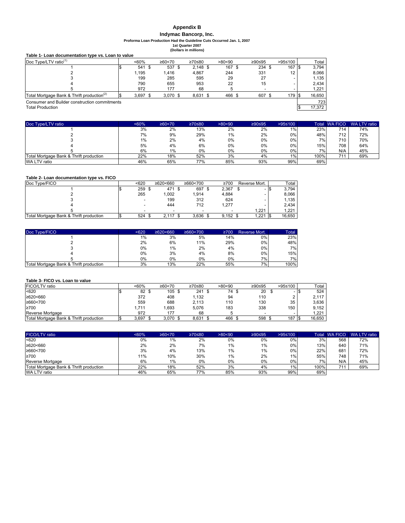### **Appendix B**

# **Indymac Bancorp, Inc.**

**Proforma Loan Production Had the Guideline Cuts Occurred Jan. 1, 2007 1st Quarter 2007**

**(Dollars in millions)**

|                                                        |            |            | 10011013 111 111111101137 |        |        |         |        |
|--------------------------------------------------------|------------|------------|---------------------------|--------|--------|---------|--------|
| Table 1- Loan documentation type vs. Loan to value     |            |            |                           |        |        |         |        |
| Doc Type/LTV ratio $(1)$                               | $~50\%$    | ≥60 < 70   | ≥70≤80                    | >80<90 | ≥90≤95 | >95≤100 | Total  |
|                                                        | 541 \$     | 537 \$     | $2.148$ \$                | 167 \$ | 234S   | 167     | 3.794  |
|                                                        | 1.195      | 1.416      | 4.867                     | 244    | 331    | 12      | 8.066  |
|                                                        | 199        | 285        | 595                       | 29     | 27     |         | 1.135  |
|                                                        | 790        | 655        | 953                       | 22     | 15     |         | 2.434  |
|                                                        | 972        | 177        | 68                        |        |        |         | 1,221  |
| Total Mortgage Bank & Thrift production <sup>(2)</sup> | $3.697$ \$ | $3.070$ \$ | 8,631 \$                  | 466 \$ | 607 \$ | 179 \$  | 16,650 |
| Consumer and Builder construction commitments          |            |            |                           |        |        |         | 723    |
| <b>Total Production</b>                                |            |            |                           |        |        |         | 17,372 |
|                                                        |            |            |                           |        |        |         |        |

| Doc Type/LTV ratio                      | $<60\%$ | ≥60 < 70 | ≥70≤80 | >80<90 | ≥90≤95 | $>95 \le 100$ | Total | <b>WA FICO</b> | WA LTV ratio |
|-----------------------------------------|---------|----------|--------|--------|--------|---------------|-------|----------------|--------------|
|                                         | 3%      | 2%       | 13%    | 2%     | 2%     | $1\%$         | 23%   | 714            | 74%          |
|                                         | 7%      | 9%       | 29%    | 1%     | 2%     | $0\%$         | 48%   | 712            | 72%          |
|                                         | 1%      | 2%       | 4%     | 0%     | 0%     | $0\%$         | 7%    | 710            | 70%          |
|                                         | 5%      | 4%       | 6%     | 0%     | 0%     | 0%            | 15%   | 708            | 64%          |
|                                         | 6%      | 1%       | 0%     | 0%     | 0%     | $0\%$         | 7%    | N/A            | 45%          |
| Total Mortgage Bank & Thrift production | 22%     | 18%      | 52%    | 3%     | 4%     | 1%            | 100%  |                | 69%          |
| WA LTV ratio                            | 46%     | 65%      | 77%    | 85%    | 93%    | 99%           | 69%   |                |              |

### **Table 2- Loan documentation type vs. FICO**

| Doc Type/FICO                           | <620 | ≥620<660 | ≥660<700 | ≥700  | Reverse Mort. |    | Total  |
|-----------------------------------------|------|----------|----------|-------|---------------|----|--------|
|                                         | 259  | 471      | 697      | 2.367 |               | 13 | 3.794  |
|                                         | 265  | 1.002    | 1.914    | 4.884 |               |    | 8.066  |
|                                         |      | 199      | 312      | 624   |               |    | 1.135  |
|                                         |      | 444      | 712      | 1.277 |               |    | 2.434  |
|                                         |      |          |          |       | 1.221         |    | 1.221  |
| Total Mortgage Bank & Thrift production | 524  | 2.117    | 3.636    | 9.152 | 1.221         |    | 16.650 |

| Doc Type/FICO                           | $620$ | $\geq 620 < 660$ | ≥660 < 700 | $\geq 700$ | Reverse Mort. | <b>Total</b> |
|-----------------------------------------|-------|------------------|------------|------------|---------------|--------------|
|                                         | 1%    | 3%               | 5%         | 14%        | 0%            | 23%          |
|                                         | 2%    | 6%               | 11%        | 29%        | $0\%$         | 48%          |
|                                         | 0%    | $1\%$            | 2%         | 4%         | 0%            | 7%1          |
|                                         | 0%    | 3%               | 4%         | 8%         | $0\%$         | 15%          |
|                                         | 0%    | 0%               | 0%         | 0%         | 7%1           | 7%1          |
| Total Mortgage Bank & Thrift production | 3%    | 13%              | 22%        | 55%        | 7%            | 100%         |

#### **Table 3- FICO vs. Loan to value**

| FICO/LTV ratio                          | <60%  | ≥60 < 70   | ≥70≤80 | >80<90 | ≥90≤95                   | >95≤100 | Total  |
|-----------------------------------------|-------|------------|--------|--------|--------------------------|---------|--------|
| < 620                                   | 82 \$ | 105        | 241    | 74 S   | 20                       |         | 524    |
| ≥620<660                                | 372   | 408        | 1,132  | 94     | 11C                      |         | 2.117  |
| ≥660<700                                | 559   | 688        | 2.113  | 110    | 130                      | 35      | 3.636  |
| ≥700                                    | .711  | .693       | 5.076  | 183    | 338                      | 150     | 9.152  |
| Reverse Mortgage                        | 972   | 177        | 68     |        | $\overline{\phantom{0}}$ |         | 1.221  |
| Total Mortgage Bank & Thrift production | 3.697 | $3.070$ \$ | 8.631  | 466    | 598                      | 187     | 16.650 |

| <b>FICO/LTV</b> ratio                   | $&50\%$ | $260 - 70$ | ≥70≤80 | >80<90 | ≥90≤95 | >95≤100 |      | Total WA FICO | WA LTV ratio |
|-----------------------------------------|---------|------------|--------|--------|--------|---------|------|---------------|--------------|
| < 620                                   | 0%      | 1%         | 2%     | 0%     | $0\%$  | 0%      | 3%   | 568           | 72%          |
| ≥620<660                                | 2%      | 2%         | 7%     | $1\%$  | 1%     | 0%      | 13%  | 640           | 71%          |
| ≥660<700                                | 3%      | 4%         | 13%    | 1%     | 1%     | 0%      | 22%  | 681           | 72%          |
| ≥700                                    | 11%     | 10%        | 30%    | $1\%$  | 2%     | 1%      | 55%  | 748           | 71%          |
| Reverse Mortgage                        | 6%      | 1%         | 0%     | 0%     | 0%     | 0%      | 7%   | N/A           | 45%          |
| Total Mortgage Bank & Thrift production | 22%     | 18%        | 52%    | 3%     | 4%     | 1%      | 100% | 744           | 69%          |
| WA LTV ratio                            | 46%     | 65%        | 77%    | 85%    | 93%    | 99%     | 69%  |               |              |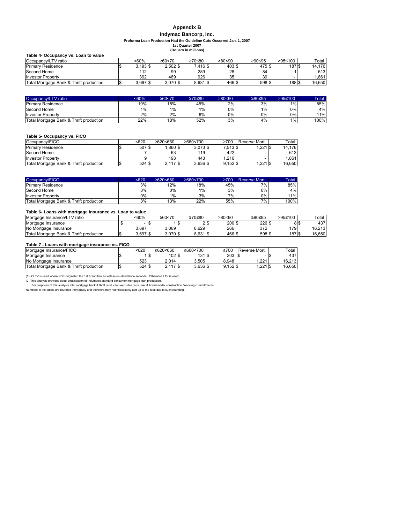### **Appendix B**

#### **Indymac Bancorp, Inc.**

**Proforma Loan Production Had the Guideline Cuts Occurred Jan. 1, 2007**

**(Dollars in millions) 1st Quarter 2007**

| Table 4- Occupancy vs. Loan to value    |            |            |          |        |        |                   |        |
|-----------------------------------------|------------|------------|----------|--------|--------|-------------------|--------|
| Occupancy/LTV ratio                     | <60%       | ≥60 < 70   | ≥70≤80   | >80<90 | ≥90≤95 | >95≤100           | Total  |
| <b>Primary Residence</b>                | $3.193$ \$ | $2.502$ \$ | 7.416 \$ | 403 \$ | 475\$  | 187 \$            | 14.176 |
| Second Home                             | 112        | 99         | 289      | 28     | 84     |                   | 613    |
| <b>Investor Property</b>                | 392        | 469        | 926      | 35     | 39     |                   | .861   |
| Total Mortgage Bank & Thrift production | 3.697 \$   | 3.070 \$   | 8.631 \$ | 466 \$ | 598 \$ | 188 <sup>\$</sup> | 16.650 |

| Occupancy/LTV ratio                     | <60% | ≥60 < 70 | ≥70≤80. | >80<90 | ≥90≤95 | $>95 \le 100$ | Total |
|-----------------------------------------|------|----------|---------|--------|--------|---------------|-------|
| <b>Primary Residence</b>                | 19%  | 15%      | 45%     | 2%     | 3%     | 1%            | 85%   |
| Second Home                             | 1%   | $1\%$    | 1%      | 0%     | 1%     | 0%            | 4%    |
| <b>Investor Property</b>                | 2%   | 2%       | 6%      | 0%     | 0%     | 0%            | 11%   |
| Total Mortgage Bank & Thrift production | 22%  | 18%      | 52%     | 3%     | 4%     | 1%            | 100%  |

#### **Table 5- Occupancy vs. FICO**

| Occupancy/FICO                          | <620   | ≥620<660   | ≥660<700   | ≥700       | Reverse Mort. | Total  |
|-----------------------------------------|--------|------------|------------|------------|---------------|--------|
| <b>Primary Residence</b>                | 507\$  | $.860$ \$  | $3.073$ \$ | 7.513 \$   | .221S         | 14.176 |
| Second Home                             |        | 63         | 119        | 422        |               | 613    |
| <b>Investor Property</b>                |        | 193        | 443        | .216       |               | .861   |
| Total Mortgage Bank & Thrift production | 524 \$ | $2,117$ \$ | $3.636$ \$ | $9.152$ \$ | $1,221$ \$    | 16.650 |

| Occupancy/FICO                          | <620 | $\geq 620 \leq 660$ | ≥660 < 700 | 2700 | Reverse Mort. | Total |
|-----------------------------------------|------|---------------------|------------|------|---------------|-------|
| <b>Primary Residence</b>                | 3%   | 12%                 | 18%        | 45%  | $7\%$         | 85%   |
| Second Home                             | 0%   | 0%                  | 1%         | 3%   | 0%            | 4%I   |
| <b>Investor Property</b>                | 0%   | 1%                  | 3%         | 7%   | $0\%$         | 11%   |
| Total Mortgage Bank & Thrift production | 3%   | 13%                 | 22%        | 55%  | $7\%$         | 100%  |

#### **Table 6- Loans with mortgage insurance vs. Loan to value**

| Mortgage Insurance/LTV ratio            |       | <60%  | ≥60 < 70 | ≥70≤80 | >80<90 | ≥90≤95 | >95≤100 | Total   |
|-----------------------------------------|-------|-------|----------|--------|--------|--------|---------|---------|
| Mortgage Insurance                      |       |       |          | ∽      | 200 \$ | 226    | 8 S     | 437     |
| No Mortgage Insurance                   |       | 3.697 | 3.069    | 8.629  | 266    | מד מ   | 179     | 16.213  |
| Total Mortgage Bank & Thrift production | 1 M J | 3.697 | 3.070 \$ | 8.631  | 466 \$ | 598 \$ | 187 S   | 16.6501 |

#### **Table 7 - Loans with mortgage insurance vs. FICO**

| Mortgage Insurance/FICO                 | 620ء | ≥620<660 | ≥660<700 | ≥700  | Reverse Mort. | Total  |
|-----------------------------------------|------|----------|----------|-------|---------------|--------|
| Mortgage Insurance                      |      | 102      | 131      | 203   |               | 437    |
| No Mortgage Insurance                   | 523  | 2.014    | 3.505    | 3.948 | .221          | 16.213 |
| Total Mortgage Bank & Thrift production | 524  |          | 3.636 \$ | ).152 | $.2211$ \$    | 16.650 |

(1)- CLTV is used where NDE originated the 1st & 2nd lien as well as on standalone seconds; Otherwise LTV is used.<br>For purposes of this analysis provides detail stratification of Indymac's standard consumer mortgage loan p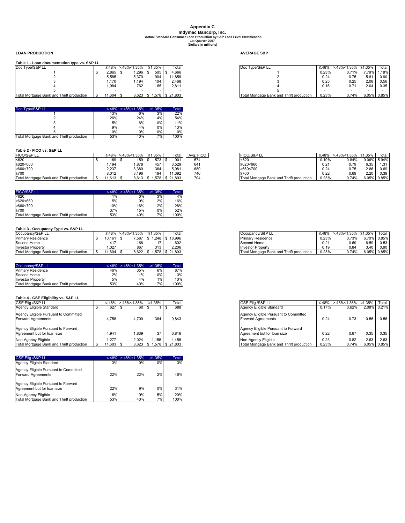### **(Dollars in millions) Appendix C Indymac Bancorp, Inc. Actual Standard Consumer Loan Production by S&P Loss Level Stratification 1st Quarter 2007**

#### **LOAN PRODUCTION AVERAGE S&P**

#### **Table 1 - Loan documentation type vs. S&P LL**

| Doc Type/S&P LL                           |        | $\leq 48\% > 48\% < 1.35\%$ |     | ≥1.35% | Total                | Doc Type/S&P L                            | ≤.48% | >.48%<1.35% ≥1.35% |             | Tota        |
|-------------------------------------------|--------|-----------------------------|-----|--------|----------------------|-------------------------------------------|-------|--------------------|-------------|-------------|
|                                           | 2.865  | .296                        |     | 505    | 4.666                |                                           | 0.23% | 0.71%              |             | 7.79% 1.18% |
|                                           | 5,585  | 5,370                       |     | 904    | 1.858                |                                           | 0.24  | 0.75               | 5.81        | 0.90        |
|                                           | 1.170  | 1.194                       |     | 104    | 2.468                |                                           | 0.25  | 0.25               | 2.08        | 0.56        |
|                                           | 1.984  |                             | 762 | 65     | 2.811                |                                           | 0.16  | 0.71               | 2.04        | 0.35        |
|                                           |        |                             |     |        |                      |                                           |       |                    |             |             |
| Total Mortagae Rank and Thrift production | 11 604 | <b>R 623</b>                |     |        | $C$ 1 578 $C$ 21 803 | Total Mortagae Rank and Thrift production | U 230 | 0.74%              | 6.05% 0.85% |             |

| Doc Type/S&P LL                           |     | $\leq 48\% > 48\% < 1.35\%$ | $\geq 1.35\%$ | Total |
|-------------------------------------------|-----|-----------------------------|---------------|-------|
|                                           | 13% | 6%                          | 3%            | 22%   |
|                                           | 26% | 24%                         | 4%            | 54%   |
|                                           | 5%  | 6%                          | $0\%$         | 11%   |
|                                           | 9%  | 4%                          | $0\%$         | 13%   |
|                                           | 0%  | 0%                          | $0\%$         | 0%    |
| Total Mortgage Bank and Thrift production | 53% | 40%                         | 7%            | 100%  |

#### **Table 2 - FICO vs. S&P LL**

| FICO/S&P LL                               | ⊸.48% | $>48\%$ < 1.35% | ≥1.35% |      | Total           | <b>FICO</b><br>Ava. | <b>FICO/S&amp;P LL</b>                    | ≤.48% | $>48\% < 1.35\%$ | ≥1.35% | Total       |
|-------------------------------------------|-------|-----------------|--------|------|-----------------|---------------------|-------------------------------------------|-------|------------------|--------|-------------|
| < 620                                     | 169   | 159             |        | 573  | 90 <sup>7</sup> | 574                 | < 620                                     | 0.19% | 0.84%            |        | 9.06% 5.94% |
| ≥620<660                                  | .194  | ,878            |        | 457  | 3,529           | 641                 | ≥620<660                                  | 0.21  | 0.79             | 6.35   | 1.31        |
| ≥660<700                                  | 2.237 | 3,380           |        | 364  | 5,981           | 680                 | ≥660<700                                  | 0.24  | 0.75             | 2.86   | 0.69        |
| ≥700                                      | 8.012 | 3.196           |        | 184  | 1.392           | 746                 | ≥700                                      | 0.22  | 0.69             | 2.20   | 0.39        |
| Total Mortgage Bank and Thrift production | 1.613 | 8.613           |        | .578 | 21.803<br>- IS  | 704                 | Total Mortgage Bank and Thrift production | 0.23% | 0.74%            | 6.05%  | 0.85%       |

| <b>FICO/S&amp;P LL</b>                    |     | $\leq 48\%$ > 48% < 1.35% | $\geq 1.35\%$ | Total |
|-------------------------------------------|-----|---------------------------|---------------|-------|
| < 620                                     | 1%  | 0%                        | 3%            | 4%    |
| ≥620<660                                  | 5%  | 9%                        | 2%            | 16%   |
| ≥660<700                                  | 10% | 16%                       | 2%            | 28%   |
| $\geq 700$                                | 37% | 15%                       | 0%            | 52%   |
| Total Mortgage Bank and Thrift production | 53% | 40%                       | 7%            | 100%  |

### **Table 3 - Occupancy Type vs. S&P LL**

| Occupancy/S&P LL                          |      | ≟.48%  | $>48\% < 1.35\%$ |       | ≥1.35% | Total  | Occupancy/S&P LL                          | ≤.48%         | $>48\%$ < 1.35% | ≥1.35%     | Total |
|-------------------------------------------|------|--------|------------------|-------|--------|--------|-------------------------------------------|---------------|-----------------|------------|-------|
| <b>Primary Residence</b>                  |      | 10.16' |                  | 7.587 | .248   | 18.996 | <b>Primary Residence</b>                  | 0.23%         | 0.73%           | 6.70%      | 0.85% |
| Second Home                               |      |        |                  | 168   |        | 602    | Second Home                               | $0.2^{\circ}$ | 0.69            | 5.59.      | 0.53  |
| <b>Investor Property</b>                  |      | .027   |                  | 867   | 313    | 2.206  | <b>Investor Property</b>                  | 0.19          | 0.84            | .40        | 0.90  |
| Total Mortgage Bank and Thrift production | - 56 | 1.604  |                  | 3.622 | 1.578  | 21.803 | Total Mortgage Bank and Thrift production | 0.23%         | 0.74%           | $6.05\%$ . | 0.85% |

| Occupancy/S&P LL                          |     | $\leq 48\% > 48\% < 1.35\%$ | $\geq 1.35\%$ | Total |
|-------------------------------------------|-----|-----------------------------|---------------|-------|
| <b>Primary Residence</b>                  | 46% | 35%                         | 6%            | 87%   |
| Second Home                               | 2%  | 1%                          | 0%            | 3%    |
| <b>Investor Property</b>                  | 5%  | 4%                          | 1%            | 10%   |
| Total Mortgage Bank and Thrift production | 53% | 40%                         | 7%            | 100%  |

### **Table 4 - GSE Eligibility vs. S&P LL**

| GSE Elia./S&P LL                          |            | $\leq 48\% > 48\% < 1.35\%$ | ≥1.35% | Total                    |
|-------------------------------------------|------------|-----------------------------|--------|--------------------------|
| Agency Eligible Standard                  | 627        | 60 \$                       |        | 688                      |
| Agency Eligible Pursuant to Committed     |            |                             |        |                          |
| Forward Agreements                        | 4.758      | 4.700                       | 384    | 9.843                    |
|                                           |            |                             |        |                          |
| Agency Eligible Pursuant to Forward       |            |                             |        |                          |
| Agreement but for loan size               | 4.941      | 1.839                       | 37     | 6.816                    |
| Non-Agency Eligible                       | 1.277      | 2.024                       | .155   | 4.456                    |
| Total Mortgage Bank and Thrift production | $1,603$ \$ |                             |        | 8,623 \$ 1,578 \$ 21,803 |

| <b>GSE Elig./S&amp;P LL</b>                                        |     | $\leq 48\% > 48\% < 1.35\%$ | $\geq 1.35\%$ | Total |
|--------------------------------------------------------------------|-----|-----------------------------|---------------|-------|
| Agency Eligible Standard                                           | 3%  | $0\%$                       | $0\%$         | 3%    |
| Agency Eligible Pursuant to Committed<br><b>Forward Agreements</b> | 22% | 22%                         | 2%            | 46%   |
| Agency Eligible Pursuant to Forward<br>Agreement but for loan size | 22% | 9%                          | 0%            | 31%   |
| Non-Agency Eligible                                                | 6%  | 9%                          | 5%            | 20%   |
| Total Mortgage Bank and Thrift production                          | 53% | 40%                         | 7%            | 100%  |

| Doc Type/S&P LL                           |        | $\leq 48\% > 48\% < 1.35\%$ |       | ≥1.35% | Total.            | Doc Type/S&P LL                           |       | ≤.48% >.48%<1.35% ≥1.35% |             | Total |
|-------------------------------------------|--------|-----------------------------|-------|--------|-------------------|-------------------------------------------|-------|--------------------------|-------------|-------|
|                                           | 2.865  |                             | 1,296 | 505    | 4.666             |                                           | 0.23% | 0.71%                    | 7.79% 1.18% |       |
|                                           | 5.585  |                             | 5,370 | 904    | 11,858            |                                           | 0.24  | 0.75                     | 5.81        | 0.90  |
|                                           | 1.170  |                             | 1,194 | 104    | 2.468             |                                           | 0.25  | 0.25                     | 2.08        | 0.56  |
|                                           | 1.984  |                             | 762   | 65     | 2.811             |                                           | 0.16  | 0.71                     | 2.04        | 0.35  |
|                                           |        |                             |       |        |                   |                                           |       |                          |             |       |
| Total Mortgage Bank and Thrift production | 11.604 |                             | 8,623 |        | 3 1,578 \$ 21,803 | Total Mortgage Bank and Thrift production | 0.23% | 0.74%                    | 6.05% 0.85% |       |

| FICO/S&P LL                               | ≤.48% | $>48\%$ < 1.35% | ≥1.35%   | <b>Total</b> |
|-------------------------------------------|-------|-----------------|----------|--------------|
| < 620                                     | 0.19% | 0.84%           | $9.06\%$ | 5.94%        |
| 1≥620<660                                 | 0.21  | 0.79            | 6.35     | 1.31         |
| ≥660<700                                  | 0.24  | 0.75            | 2.86     | 0.69         |
| ≥700                                      | 0.22  | 0.69            | 2.20     | 0.39         |
| Total Mortgage Bank and Thrift production | 0.23% | 0.74%           | 6.05%    | 0.85%        |

| Occupancy/S&P LL                          | ≤.48% | >.48%<1.35% ≥1.35% |      | Total       |
|-------------------------------------------|-------|--------------------|------|-------------|
| <b>Primary Residence</b>                  | 0.23% | 0.73%              |      | 6.70% 0.85% |
| Second Home                               | 0.21  | 0.69               | 6.59 | 0.53        |
| <b>Investor Property</b>                  | 0.19  | 0.84               | 3.40 | 0.90        |
| Total Mortgage Bank and Thrift production | 0.23% | 0.74%              |      | 6.05% 0.85% |

| GSE Elia./S&P LL                                                   | ≤.48% | $>48\%$ < 1.35% | $\geq 1.35\%$ | Total |
|--------------------------------------------------------------------|-------|-----------------|---------------|-------|
| Agency Eligible Standard                                           | 0.17% | 0.62%           | 2.08%         | 0.21% |
| Agency Eligible Pursuant to Committed<br><b>Forward Agreements</b> | 0.24  | 0.73            | 0.56          | 0.56  |
| Agency Eligible Pursuant to Forward<br>Agreement but for loan size | 0.22  | 0.67            | 0.35          | 0.35  |
| Non-Agency Eligible                                                | 0.23  | 0.82            | 2.63          | 2.63  |
| Total Mortgage Bank and Thrift production                          | 0.23% | 0.74%           | 6.05%         | 0.85% |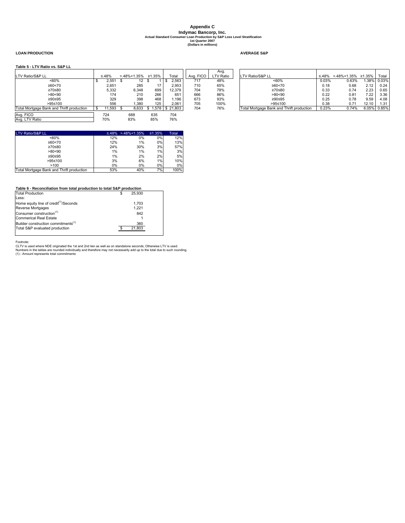# **Appendix C Indymac Bancorp, Inc. Actual Standard Consumer Loan Production by S&P Loss Level Stratification 1st Quarter 2007**

**(Dollars in millions)**

#### **LOAN PRODUCTION AVERAGE S&P**

#### **Table 5 - LTV Ratio vs. S&P LL**

|                                           |             |             |        |                          |           | Avg.      |                                           |       |                    |       |             |
|-------------------------------------------|-------------|-------------|--------|--------------------------|-----------|-----------|-------------------------------------------|-------|--------------------|-------|-------------|
| LTV Ratio/S&P LL                          | ≤.48%       | >.48%<1.35% | ≥1.35% | Total                    | Ava, FICO | LTV Ratio | LTV Ratio/S&P LL                          | ≤.48% | >.48%<1.35% ≥1.35% |       | Total       |
| $~160\%$                                  | 2,551       | 12          |        | 2,563                    | 717       | 48%       | $~50\%$                                   | 0.03% | 0.63%              | .38%  | 0.03%       |
| ≥60 < 70                                  | 2.651       | 285         |        | 2.953                    | 710       | 65%       | ≥60 < 70                                  | 0.18  | 0.68               | 2.12  | 0.24        |
| ≥70≤80                                    | 5,332       | 6,348       | 699    | 12.379                   | 704       | 78%       | ≥70≤80                                    | 0.33  | 0.74               | 2.23  | 0.65        |
| >80<90                                    | 174         | 210         | 266    | 651                      | 666       | 86%       | >80<90                                    | 0.22  | 0.81               | 7.22  | 3.36        |
| ≥90≤95                                    | 329         | 398         | 468    | l.196                    | 673       | 93%       | ≥90≤95                                    | 0.25  | 0.78               | 9.59  | 4.08        |
| $>95 \le 100$                             | 556         | .380        | 125    | 2.061                    | 705       | 100%      | >95≤100                                   | 0.38  | 0.71               | 12.10 | 1.31        |
| Total Mortgage Bank and Thrift production | $11.593$ \$ |             |        | 8.633 \$ 1.578 \$ 21.803 | 704       | 76%       | Total Mortgage Bank and Thrift production | 0.23% | 0.74%              |       | 6.05% 0.85% |
| Avg. FICO                                 | 724         | 688         | 635    | 704                      |           |           |                                           |       |                    |       |             |
| Avg. LTV Ratio                            | 70%         | 83%         | 85%    | 76%                      |           |           |                                           |       |                    |       |             |

 ${\small \begin{array}{cccccccc} \text{LTV Ratio/SAP LL} & \text{\textbf{\texttt{<-60\%}}} & \text{\textbf{\texttt{<-48\%}}\ \text{\texttt{>+48\%}}\ \text{\texttt{<-1.35\%}} & \text{\texttt{21.35\%}} & \text{Total} & \text{\texttt{22\%}}\\ & \text{\texttt{<-60\%}} & 12\% & 0\% & 0\% & 12\%\\ \text{\texttt{>20\%}} & 12\% & 1\% & 0\% & 13\%\\ \text{\texttt{>20\%}} & 24\% & 30\% & 3\% &$ <60% 12% 0% 0% 12% ≥60<70 12% 1% 0% 13% ≥70≤80 24% 30% 3% 57%  $\geq 800 \leq 80$ <br>  $>800 \leq 90 \leq 95$ <br>  $>800 \leq 95 \leq 100$ <br>  $>95 \leq 100$ <br>  $>950 \leq 100$ <br>  $>950 \leq 100$ <br>  $>950 \leq 100$ <br>  $>3\%$   $>6\%$ <br>  $>1\%$ <br>  $>6\%$ <br>  $>1\%$ ≥90≤95 1% 2% 2% 5% + 2000<br>
-100<br>
-100 10% 6% 1% 10%<br>
-100 10% 0% 0% 0% 0%<br>
-100% 100% 100% 100% >100 0% 0% 0% 0% Total Mortgage Bank and Thrift production 53% 40%

#### **Table 6 - Reconciliation from total production to total S&P production**

| <b>Total Production</b>                            | 25.930 |  |
|----------------------------------------------------|--------|--|
| Less:                                              |        |  |
| Home equity line of credit <sup>(1)</sup> /Seconds | 1.703  |  |
| Reverse Mortgages                                  | 1.221  |  |
| Consumer construction <sup>(1)</sup>               | 842    |  |
| <b>Commerical Real Estate</b>                      |        |  |
| Builder construction commitments <sup>(1)</sup>    | 360    |  |
| Total S&P evaluated production                     | 21.803 |  |
|                                                    |        |  |

Footnote:<br>CLTV is used where NDE originated the 1st and 2nd lien as well as on standalone seconds; Otherwise LTV is used.<br>Numbers in the tables are rounded individually and therefore may not necessarily add up to the total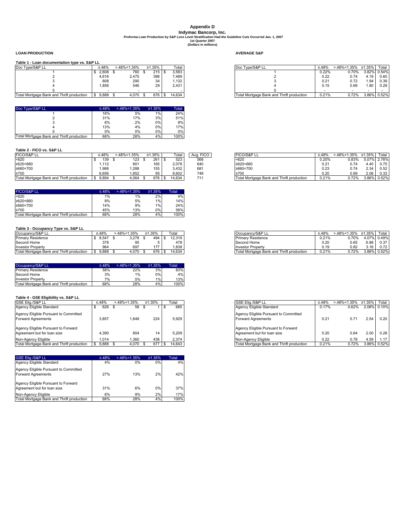### **Appendix D (Dollars in millions) Proforma Loan Production by S&P Loss Level Stratification Had the Guideline Cuts Occurred Jan. 1, 2007<br>Proforma Loan Production by S&P Loss Level Stratification Had the Guideline Cuts Occurred Jan. 1, 2007<br>1997 - The Stra**

**LOAN PRODUCTION AVERAGE S&P**

#### **Table 1 - Loan documentation type vs. S&P LL**

| .                                         |                       |             |        |        |                                           |       |             |               |       |
|-------------------------------------------|-----------------------|-------------|--------|--------|-------------------------------------------|-------|-------------|---------------|-------|
| Doc Type/S&P LL                           | ≤.48%                 | -.48%<1.35% | ≥1.35% | Total  | Doc Type/S&P LL                           | ≤.48% | -.48%<1.35% | $\geq 1.35\%$ | Total |
|                                           | 2,608                 | 760         | 215    | 3.583  |                                           | 0.22% | $0.70\%$    | 3.82% 0.54%   |       |
|                                           | 4.616                 | 2,475       | 398    | 7.489  |                                           | 0.22  | 0.74        | 4.19          | 0.60  |
|                                           | 808                   | 290         | 34     | .132   |                                           | 0.21  | 0.72        | 1.94          | 0.39  |
|                                           | 1,856                 | 546         | 29     | 2.431  |                                           | 0.15  | 0.69        | 1.80          | 0.29  |
|                                           |                       |             |        |        |                                           |       |             |               |       |
| Total Mortgage Bank and Thrift production | 9.888<br>$\mathbf{r}$ | 1 በ7በ       | 676    | 14.634 | Total Mortgage Bank and Thrift production | 0.21% | 0.72%       | 386% 0.52%    |       |

| Doc Type/S&P LL                           | ≤.48% | $>48\% < 1.35\%$ | $\geq 1.35\%$ | Total |
|-------------------------------------------|-------|------------------|---------------|-------|
|                                           | 18%   | 5%               | 1%            | 24%   |
|                                           | 31%   | 17%              | 3%            | 51%   |
|                                           | 6%    | 2%               | 0%            | 8%    |
|                                           | 13%   | 4%               | 0%            | 17%   |
|                                           | 0%    | 0%               | 0%            | $0\%$ |
| Total Mortgage Bank and Thrift production | 68%   | 28%              | 4%            | 100%  |

#### **Table 2 - FICO vs. S&P LL**

| FICO/S&P LL                               | $\leq 48\%$ | $.48\%1.35%$ | 1.35% | Total  | <b>FICO</b><br>Ava. | <b>FICO/S&amp;P LL</b>                    | ≤.48% | $.48\% < 1.35\%$ | ≥1.35% | Total       |
|-------------------------------------------|-------------|--------------|-------|--------|---------------------|-------------------------------------------|-------|------------------|--------|-------------|
| < 620                                     | 139         | 123          | 261   | 523    | 568                 | < 620                                     | 0.20% | 0.83%            |        | 5.07% 2.78% |
| ≥620<660                                  | .112        | 801          | 165   | 2.078  | 640                 | ≥620<660                                  | 0.21  | 0.74             | 4.40   | 0.75        |
| ≥660<700                                  | 1.988       | ,288         | 155   | 3.432  | 681                 | ≥660<700                                  | 0.23  | 0.74             | 2.34   | 0.52        |
| ≥700                                      | 6.656       | .852         | 95    | 8.602  | 748                 | $\geq 700$                                | 0.20  | 0.69             | 2.06   | 0.33        |
| Total Mortgage Bank and Thrift production | 9.894       | 4.064        | 676   | 14.634 | 711                 | Total Mortgage Bank and Thrift production | 0.21% | 0.72%            | 3.86%  | 0.52%       |

| <b>FICO/S&amp;P LL</b>                    | ≤.48% | $> 48\% < 1.35\%$ | ≥1.35% | Total |
|-------------------------------------------|-------|-------------------|--------|-------|
| < 620                                     | 1%    | 1%                | 2%     | 4%    |
| $\geq 620 \leq 660$                       | 8%    | 5%                | 1%     | 14%   |
| $\geq 660 < 700$                          | 14%   | 9%                | 1%     | 24%   |
| $\geq 700$                                | 45%   | 13%               | 0%     | 58%   |
| Total Mortgage Bank and Thrift production | 68%   | 28%               | 4%     | 100%  |

### **Table 3 - Occupancy Type vs. S&P LL**

| Occupancy/S&P LL                          | ≤.48% | $3.48\% < 1.35\%$ | ≥1.35% | Total  | Occupancy/S&P LL                          | ≤.48% | -.48%<1.35% | ≥1.35% | Total       |
|-------------------------------------------|-------|-------------------|--------|--------|-------------------------------------------|-------|-------------|--------|-------------|
| Primary Residence                         | 8.547 | 3.278             | 494    | 12.319 | <b>Primary Residence</b>                  | 0.21% | 0.70%       |        | 4.07% 0.49% |
| Second Home                               | 378   | QF<br>ຶ           |        | 478    | Second Home                               | 0.20  | 0.65        | 6.88   | 0.37        |
| <b>Investor Property</b>                  | ar,   | 697               | 177    | .838   | <b>Investor Property</b>                  | 0.19  | 0.82        | 3.16   | 0.72        |
| Total Mortgage Bank and Thrift production | 9.888 | 4.070             | 676    | 14.634 | Total Mortgage Bank and Thrift production | 0.21% | 0.72%       | 3.86%  | 0.52%       |

| Occupancy/S&P LL                          | $\leq 48\%$ | $>48\%$ < 1.35% | $\geq 1.35\%$ | Total |
|-------------------------------------------|-------------|-----------------|---------------|-------|
| <b>Primary Residence</b>                  | 58%         | 22%             | 3%            | 83%   |
| Second Home                               | 3%          | 1%              | 0%            | 4%    |
| <b>Investor Property</b>                  | 7%          | 5%              | 1%            | 13%   |
| Total Mortgage Bank and Thrift production | 68%         | 28%             | 4%            | 100%  |

#### **Table 4 - GSE Eligibility vs. S&P LL**

| GSE Elig./S&P LL                          | ≤.48% | $>48\%$ < 1.35% | ≥1.35% | Total  | <b>GSE Elia./S&amp;P LL</b>               | ≤.48% | >.48%<1.35% | ≥1.35%      | Total |
|-------------------------------------------|-------|-----------------|--------|--------|-------------------------------------------|-------|-------------|-------------|-------|
| Agency Eligible Standard                  | 626   | 58              |        | 685    | Agency Eligible Standard                  | 0.17% | 0.62%       | 2.08% 0.10% |       |
| Agency Eligible Pursuant to Committed     |       |                 |        |        | Agency Eligible Pursuant to Committed     |       |             |             |       |
| <b>Forward Agreements</b>                 | 3.857 | 1,848           | 224    | 5.929  | <b>Forward Agreements</b>                 | 0.21  | 0.71        | 2.54        |       |
| Agency Eligible Pursuant to Forward       |       |                 |        |        | Agency Eligible Pursuant to Forward       |       |             |             |       |
| Agreement but for loan size               | 4.390 | 804             | 14     | 5.209  | Agreement but for loan size               | 0.20  | 0.64        | 2.00        |       |
| Non-Agency Eligible                       | .014  | 1.360           | 438    | 2.374  | Non-Agency Eligible                       | 0.22  | 0.78        | 4.59        |       |
| Total Mortgage Bank and Thrift production | 9.888 | 4.070           | 677    | 14.643 | Total Mortgage Bank and Thrift production | 0.21% | 0.72%       | 3.86% 0.52% |       |

| <b>GSE Elig./S&amp;P LL</b>                                        | ≤.48% | $>48\%$ < 1.35% | $\geq 1.35\%$ | Total |
|--------------------------------------------------------------------|-------|-----------------|---------------|-------|
| Agency Eligible Standard                                           | 4%    | 0%              | 0%            | 4%    |
| Agency Eligible Pursuant to Committed<br><b>Forward Agreements</b> | 27%   | 13%             | 2%            | 42%   |
| Agency Eligible Pursuant to Forward<br>Agreement but for loan size | 31%   | 6%              | 0%            | 37%   |
| Non-Agency Eligible                                                | 6%    | 9%              | 2%            | 17%   |
| Total Mortgage Bank and Thrift production                          | 68%   | 28%             | 4%            | 100%  |

| Doc Type/S&P LL                           | ≤.48% | $>48\%$ < 1.35% |  | ≥1.35% |  | Total  | n Type/S&P L∟<br>Doc                      |       | >.48%<1.35% | ≥1.35% | Total       |  |  |
|-------------------------------------------|-------|-----------------|--|--------|--|--------|-------------------------------------------|-------|-------------|--------|-------------|--|--|
|                                           | 2.608 | 760             |  | 215 I  |  | 3.583  |                                           | 0.22% | 0.70%       |        | 3.82% 0.54% |  |  |
|                                           | 4.616 | 2.475           |  | 398    |  | 7.489  |                                           | 0.22  | 0.74        | 4.19   | 0.60        |  |  |
|                                           | 808   | 290             |  | 34     |  | 1.132  |                                           | 0.21  | 0.72        | 1.94   | 0.39        |  |  |
|                                           | 1.856 | 546             |  | 29     |  | 2.431  |                                           | 0.15  | 0.69        | 1.80   | 0.29        |  |  |
|                                           |       |                 |  |        |  |        |                                           |       |             |        |             |  |  |
| Total Mortgage Bank and Thrift production | 9.888 | 4.070           |  | 676 I  |  | 14.634 | Total Mortgage Bank and Thrift production | 0.21% | 0.72%       |        | 3.86% 0.52% |  |  |

| <b>FICO/S&amp;P LL</b>                    | $\leq 48\%$ | $>48\% < 1.35\%$ | ≥1.35% | ™otal       |
|-------------------------------------------|-------------|------------------|--------|-------------|
| < 620                                     | 0.20%       | 0.83%            |        | 5.07% 2.78% |
| $\geq 620 \leq 660$                       | 0.21        | 0.74             | 4.40   | 0.75        |
| $\geq 660 < 700$                          | 0.23        | 0.74             | 2.34   | 0.52        |
| $\geq 700$                                | 0.20        | 0.69             | 2.06   | 0.33        |
| Total Mortgage Bank and Thrift production | 0.21%       | 0.72%            |        | 3.86% 0.52% |

| Occupancy/S&P LL                          | ≤.48% | $>48\% < 1.35\%$ $\geq 1.35\%$ |      | Total       |
|-------------------------------------------|-------|--------------------------------|------|-------------|
| <b>Primary Residence</b>                  | 0.21% | 0.70%                          |      | 4.07% 0.49% |
| Second Home                               | 0.20  | 0.65                           | 6.88 | 0.37        |
| <b>Investor Property</b>                  | 0.19  | 0.82                           | 3.16 | 0.72        |
| Total Mortgage Bank and Thrift production | 0.21% | 0.72%                          |      | 3.86% 0.52% |

| GSE Elia./S&P LL                                                   | $\leq 48\%$ | $>48\%$ < 1.35% | $\geq 1.35\%$ | Total       |
|--------------------------------------------------------------------|-------------|-----------------|---------------|-------------|
| Agency Eligible Standard                                           | 0.17%       | 0.62%           |               | 2.08% 0.10% |
| Agency Eligible Pursuant to Committed<br><b>Forward Agreements</b> | 0.21        | 0.71            | 2.54          | 0.20        |
| Agency Eligible Pursuant to Forward<br>Agreement but for loan size | 0.20        | 0.64            | 2.00          | 0.28        |
| Non-Agency Eligible                                                | 0.22        | 0.78            | 4.59          | 1.17        |
| Total Mortgage Bank and Thrift production                          | 0.21%       | 0.72%           | 3.86%         | 0.52%       |